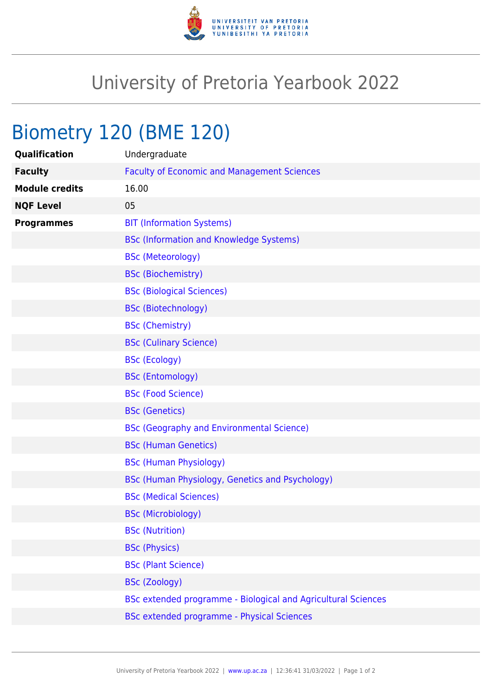

## University of Pretoria Yearbook 2022

## Biometry 120 (BME 120)

| Qualification         | Undergraduate                                                 |
|-----------------------|---------------------------------------------------------------|
| <b>Faculty</b>        | <b>Faculty of Economic and Management Sciences</b>            |
| <b>Module credits</b> | 16.00                                                         |
| <b>NQF Level</b>      | 05                                                            |
| <b>Programmes</b>     | <b>BIT (Information Systems)</b>                              |
|                       | <b>BSc (Information and Knowledge Systems)</b>                |
|                       | <b>BSc (Meteorology)</b>                                      |
|                       | <b>BSc (Biochemistry)</b>                                     |
|                       | <b>BSc (Biological Sciences)</b>                              |
|                       | <b>BSc (Biotechnology)</b>                                    |
|                       | <b>BSc (Chemistry)</b>                                        |
|                       | <b>BSc (Culinary Science)</b>                                 |
|                       | <b>BSc (Ecology)</b>                                          |
|                       | <b>BSc (Entomology)</b>                                       |
|                       | <b>BSc (Food Science)</b>                                     |
|                       | <b>BSc (Genetics)</b>                                         |
|                       | <b>BSc (Geography and Environmental Science)</b>              |
|                       | <b>BSc (Human Genetics)</b>                                   |
|                       | <b>BSc (Human Physiology)</b>                                 |
|                       | BSc (Human Physiology, Genetics and Psychology)               |
|                       | <b>BSc (Medical Sciences)</b>                                 |
|                       | <b>BSc (Microbiology)</b>                                     |
|                       | <b>BSc (Nutrition)</b>                                        |
|                       | <b>BSc (Physics)</b>                                          |
|                       | <b>BSc (Plant Science)</b>                                    |
|                       | <b>BSc (Zoology)</b>                                          |
|                       | BSc extended programme - Biological and Agricultural Sciences |
|                       | BSc extended programme - Physical Sciences                    |
|                       |                                                               |